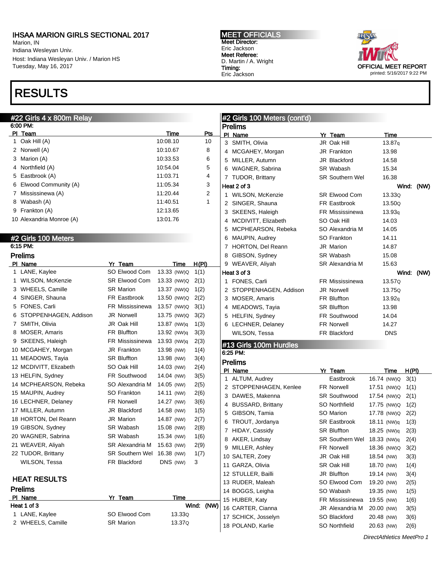Marion, IN Indiana Wesleyan Univ. Host: Indiana Wesleyan Univ. / Marion HS Tuesday, May 16, 2017

# RESULTS



| #22 Girls 4 x 800m Relay |                        |             |                | #2 Girls 100 Meters (cont'd) |                         |                             |  |                  |            |
|--------------------------|------------------------|-------------|----------------|------------------------------|-------------------------|-----------------------------|--|------------------|------------|
| 6:00 PM:                 |                        |             |                |                              | <b>Prelims</b>          |                             |  |                  |            |
| PI Team                  |                        | Time        | <u>Pts</u>     |                              | PI Name                 | Yr Team                     |  | Time             |            |
| 1 Oak Hill (A)           |                        | 10:08.10    | 10             |                              | 3 SMITH, Olivia         | JR Oak Hill                 |  | 13.87q           |            |
| 2 Norwell (A)            |                        | 10:10.67    | 8              |                              | 4 MCGAHEY, Morgan       | JR Frankton                 |  | 13.98            |            |
| 3 Marion (A)             |                        | 10:33.53    | 6              |                              | 5 MILLER, Autumn        | JR Blackford                |  | 14.58            |            |
| Northfield (A)<br>4      |                        | 10:54.04    | 5              |                              | 6 WAGNER, Sabrina       | SR Wabash                   |  | 15.34            |            |
| 5 Eastbrook (A)          |                        | 11:03.71    | 4              |                              | 7 TUDOR, Brittany       | <b>SR Southern Wel</b>      |  | 16.38            |            |
| 6 Elwood Community (A)   |                        | 11:05.34    | 3              |                              | Heat 2 of 3             |                             |  |                  | Wind: (NW) |
| 7 Mississinewa (A)       |                        | 11:20.44    | $\overline{c}$ |                              | 1 WILSON, McKenzie      | <b>SR Elwood Com</b>        |  | 13.33Q           |            |
| 8 Wabash (A)             |                        | 11:40.51    | $\mathbf{1}$   |                              | 2 SINGER, Shauna        | FR Eastbrook                |  | 13.50Q           |            |
| 9 Frankton (A)           |                        | 12:13.65    |                |                              | 3 SKEENS, Haleigh       | <b>FR Mississinewa</b>      |  | 13.93q           |            |
| 10 Alexandria Monroe (A) |                        | 13:01.76    |                |                              | 4 MCDIVITT, Elizabeth   | SO Oak Hill                 |  | 14.03            |            |
|                          |                        |             |                | 5                            | MCPHEARSON, Rebeka      | SO Alexandria M             |  | 14.05            |            |
| #2 Girls 100 Meters      |                        |             |                |                              | 6 MAUPIN, Audrey        | SO Frankton                 |  | 14.11            |            |
| 6:15 PM:                 |                        |             |                |                              | 7 HORTON, Del Reann     | <b>JR Marion</b>            |  | 14.87            |            |
| <b>Prelims</b>           |                        |             |                |                              | 8 GIBSON, Sydney        | SR Wabash                   |  | 15.08            |            |
| PI Name                  | Yr Team                | Time        | H(PI)          |                              | 9 WEAVER, Aliyah        | SR Alexandria M             |  | 15.63            |            |
| 1 LANE, Kaylee           | SO Elwood Com          | 13.33 (NW)Q | 1(1)           |                              | Heat 3 of 3             |                             |  |                  | Wind: (NW) |
| 1 WILSON, McKenzie       | SR Elwood Com          | 13.33 (NW)Q | 2(1)           |                              | 1 FONES, Carli          | FR Mississinewa             |  | 13.57Q           |            |
| 3 WHEELS, Camille        | <b>SR Marion</b>       | 13.37 (NW)Q | 1(2)           |                              | 2 STOPPENHAGEN, Addison | <b>JR Norwell</b>           |  | 13.75Q           |            |
| 4 SINGER, Shauna         | FR Eastbrook           | 13.50 (NW)Q | 2(2)           |                              | 3 MOSER, Amaris         | FR Bluffton                 |  | 13.92q           |            |
| 5 FONES, Carli           | FR Mississinewa        | 13.57 (NW)Q | 3(1)           |                              | 4 MEADOWS, Tayia        | <b>SR Bluffton</b>          |  | 13.98            |            |
| STOPPENHAGEN, Addison    | <b>JR Norwell</b>      | 13.75 (NW)Q | 3(2)           |                              | 5 HELFIN, Sydney        | <b>FR Southwood</b>         |  | 14.04            |            |
| 7 SMITH, Olivia          | JR Oak Hill            | 13.87 (NW)q | 1(3)           |                              | 6 LECHNER, Delaney      | <b>FR Norwell</b>           |  | 14.27            |            |
| 8 MOSER, Amaris          | FR Bluffton            | 13.92 (NW)q | 3(3)           |                              | WILSON, Tessa           | FR Blackford                |  | <b>DNS</b>       |            |
| 9 SKEENS, Haleigh        | FR Mississinewa        | 13.93 (NW)q | 2(3)           |                              | #13 Girls 100m Hurdles  |                             |  |                  |            |
| 10 MCGAHEY, Morgan       | JR Frankton            | 13.98 (NW)  | 1(4)           |                              | 6:25 PM:                |                             |  |                  |            |
| 11 MEADOWS, Tayia        | <b>SR Bluffton</b>     | 13.98 (NW)  | 3(4)           |                              | <b>Prelims</b>          |                             |  |                  |            |
| 12 MCDIVITT, Elizabeth   | SO Oak Hill            | 14.03 (NW)  | 2(4)           |                              | PI Name                 | Yr Team                     |  | Time             | H(PI)      |
| 13 HELFIN, Sydney        | <b>FR Southwood</b>    | 14.04 (NW)  | 3(5)           |                              | 1 ALTUM, Audrey         | Eastbrook                   |  | 16.74 (NW)Q      | 3(1)       |
| 14 MCPHEARSON, Rebeka    | SO Alexandria M        | 14.05 (NW)  | 2(5)           |                              | 2 STOPPENHAGEN, Kenlee  | <b>FR Norwell</b>           |  | 17.51 (NW)Q 1(1) |            |
| 15 MAUPIN, Audrey        | SO Frankton            | 14.11 (NW)  | 2(6)           |                              | 3 DAWES, Makenna        | <b>SR Southwood</b>         |  | 17.54 (NW)Q      | 2(1)       |
| 16 LECHNER, Delaney      | <b>FR Norwell</b>      | 14.27 (NW)  | 3(6)           |                              | 4 BUSSARD, Brittany     | SO Northfield               |  | 17.75 (NW)Q 1(2) |            |
| 17 MILLER, Autumn        | JR Blackford           | 14.58 (NW)  | 1(5)           | 5                            | GIBSON, Tamia           | SO Marion                   |  | 17.78 (NW)Q      | 2(2)       |
| 18 HORTON, Del Reann     | JR Marion              | 14.87 (NW)  | 2(7)           | 6                            | TROUT, Jordanya         | <b>SR Eastbrook</b>         |  | 18.11 (NW)q      | 1(3)       |
| 19 GIBSON, Sydney        | SR Wabash              | 15.08 (NW)  | 2(8)           |                              | 7 HIDAY, Cassidy        | <b>SR Bluffton</b>          |  | 18.25 (NW)q      | 2(3)       |
| 20 WAGNER, Sabrina       | SR Wabash              | 15.34 (NW)  | 1(6)           |                              | 8 AKER, Lindsay         | SR Southern Wel 18.33 (NW)q |  |                  | 2(4)       |
| 21 WEAVER, Aliyah        | SR Alexandria M        | 15.63 (NW)  | 2(9)           |                              | 9 MILLER, Ashley        | FR Norwell                  |  | 18.36 (NW)Q      | 3(2)       |
| 22 TUDOR, Brittany       | <b>SR Southern Wel</b> | 16.38 (NW)  | 1(7)           |                              | 10 SALTER, Zoey         | JR Oak Hill                 |  | 18.54 (NW)       | 3(3)       |
| WILSON, Tessa            | FR Blackford           | DNS (NW)    | 3              |                              | 11 GARZA, Olivia        | SR Oak Hill                 |  | 18.70 (NW)       | 1(4)       |
|                          |                        |             |                |                              | 12 STULLER, Bailli      | JR Bluffton                 |  | 19.14 (NW)       | 3(4)       |
| <b>HEAT RESULTS</b>      |                        |             |                |                              | 13 RUDER, Maleah        | SO Elwood Com               |  | 19.20 (NW)       | 2(5)       |
| <b>Prelims</b>           |                        |             |                |                              | 14 BOGGS, Leigha        | SO Wabash                   |  | 19.35 (NW)       | 1(5)       |
| PI Name                  | Yr Team                | Time        |                |                              | 15 HUBER, Katy          | FR Mississinewa             |  | 19.55 (NW)       | 1(6)       |
| Heat 1 of 3              |                        |             | Wind: (NW)     |                              | 16 CARTER, Cianna       | JR Alexandria M             |  | 20.00 (NW)       | 3(5)       |
| 1 LANE, Kaylee           | SO Elwood Com          | 13.33Q      |                |                              | 17 SCHICK, Josselyn     | SO Blackford                |  | 20.48 (NW)       | 3(6)       |
| 2 WHEELS, Camille        | <b>SR Marion</b>       | 13.37Q      |                |                              | 18 POLAND, Karlie       | SO Northfield               |  | 20.63 (NW)       | 2(6)       |
|                          |                        |             |                |                              |                         |                             |  |                  |            |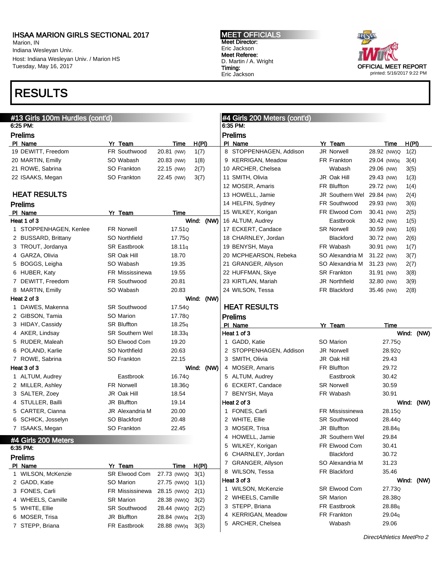Marion, IN Indiana Wesleyan Univ. Host: Indiana Wesleyan Univ. / Marion HS Tuesday, May 16, 2017

## RESULTS



| #13 Girls 100m Hurdles (cont'd)<br>6:25 PM: |                         |                    |               | #4 Girls 200 Meters (cont'd)<br>6:35 PM: |                            |                     |               |
|---------------------------------------------|-------------------------|--------------------|---------------|------------------------------------------|----------------------------|---------------------|---------------|
|                                             |                         |                    |               |                                          |                            |                     |               |
| <b>Prelims</b>                              |                         |                    |               | <b>Prelims</b>                           | Yr Team                    |                     |               |
| PI Name<br>19 DEWITT, Freedom               | Yr Team<br>FR Southwood | Time<br>20.81 (NW) | H(PI)<br>1(7) | PI Name<br>8 STOPPENHAGEN, Addison       | <b>JR Norwell</b>          | Time<br>28.92 (NW)Q | H(PI)<br>1(2) |
| 20 MARTIN, Emilly                           | SO Wabash               | 20.83 (NW)         | 1(8)          | 9 KERRIGAN, Meadow                       | FR Frankton                | 29.04 (NW)q         | 3(4)          |
| 21 ROWE, Sabrina                            | SO Frankton             | 22.15 (NW)         | 2(7)          | 10 ARCHER, Chelsea                       | Wabash                     | 29.06 (NW)          | 3(5)          |
| 22 ISAAKS, Megan                            | SO Frankton             | 22.45 (NW)         | 3(7)          | 11 SMITH, Olivia                         | JR Oak Hill                | 29.43 (NW)          | 1(3)          |
|                                             |                         |                    |               | 12 MOSER, Amaris                         | FR Bluffton                | 29.72 (NW)          | 1(4)          |
| <b>HEAT RESULTS</b>                         |                         |                    |               | 13 HOWELL, Jamie                         | JR Southern Wel 29.84 (NW) |                     | 2(4)          |
| <b>Prelims</b>                              |                         |                    |               | 14 HELFIN, Sydney                        | FR Southwood               | 29.93 (NW)          | 3(6)          |
| PI Name                                     | Yr Team                 | Time               |               | 15 WILKEY, Korigan                       | FR Elwood Com              | 30.41 (NW)          | 2(5)          |
| Heat 1 of 3                                 |                         |                    | Wind: (NW)    | 16 ALTUM, Audrey                         | Eastbrook                  | 30.42 (NW)          | 1(5)          |
| 1 STOPPENHAGEN, Kenlee                      | <b>FR Norwell</b>       | 17.51Q             |               | 17 ECKERT, Candace                       | <b>SR Norwell</b>          | 30.59 (NW)          | 1(6)          |
| 2 BUSSARD, Brittany                         | SO Northfield           | 17.75Q             |               | 18 CHARNLEY, Jordan                      | Blackford                  | 30.72 (NW)          | 2(6)          |
| 3 TROUT, Jordanya                           | <b>SR Eastbrook</b>     | 18.11q             |               | 19 BENYSH, Maya                          | FR Wabash                  | 30.91 (NW)          | 1(7)          |
| 4 GARZA, Olivia                             | SR Oak Hill             | 18.70              |               | 20 MCPHEARSON, Rebeka                    | SO Alexandria M            | 31.22 (NW)          | 3(7)          |
| 5 BOGGS, Leigha                             | SO Wabash               | 19.35              |               | 21 GRANGER, Allyson                      | SO Alexandria M            | 31.23 (NW)          | 2(7)          |
| 6 HUBER, Katy                               | <b>FR Mississinewa</b>  | 19.55              |               | 22 HUFFMAN, Skye                         | <b>SR Frankton</b>         | 31.91 (NW)          | 3(8)          |
| 7 DEWITT, Freedom                           | FR Southwood            | 20.81              |               | 23 KIRTLAN, Mariah                       | JR Northfield              | 32.80 (NW)          | 3(9)          |
| 8 MARTIN, Emilly                            | SO Wabash               | 20.83              |               | 24 WILSON, Tessa                         | FR Blackford               | 35.46 (NW)          | 2(8)          |
| Heat 2 of 3                                 |                         |                    | Wind: (NW)    |                                          |                            |                     |               |
| 1 DAWES, Makenna                            | <b>SR Southwood</b>     | 17.54Q             |               | <b>HEAT RESULTS</b>                      |                            |                     |               |
| 2 GIBSON, Tamia                             | SO Marion               | 17.78Q             |               | <b>Prelims</b>                           |                            |                     |               |
| 3 HIDAY, Cassidy                            | <b>SR Bluffton</b>      | 18.25q             |               | PI Name                                  | Yr Team                    | Time                |               |
| 4 AKER, Lindsay                             | <b>SR Southern Wel</b>  | 18.33q             |               | Heat 1 of 3                              |                            |                     | Wind: (NW)    |
| 5 RUDER, Maleah                             | SO Elwood Com           | 19.20              |               | 1 GADD, Katie                            | SO Marion                  | 27.75Q              |               |
| 6 POLAND, Karlie                            | SO Northfield           | 20.63              |               | 2 STOPPENHAGEN, Addison                  | JR Norwell                 | 28.92Q              |               |
|                                             |                         |                    |               |                                          |                            |                     |               |
| 7 ROWE, Sabrina                             | SO Frankton             | 22.15              |               | 3 SMITH, Olivia                          | JR Oak Hill                | 29.43               |               |
| Heat 3 of 3                                 |                         |                    | Wind:<br>(NW) | 4 MOSER, Amaris                          | FR Bluffton                | 29.72               |               |
| 1 ALTUM, Audrey                             | Eastbrook               | 16.74Q             |               | 5 ALTUM, Audrey                          | Eastbrook                  | 30.42               |               |
| 2 MILLER, Ashley                            | <b>FR Norwell</b>       | 18.36Q             |               | 6 ECKERT, Candace                        | <b>SR Norwell</b>          | 30.59               |               |
| 3 SALTER, Zoey                              | JR Oak Hill             | 18.54              |               | 7 BENYSH, Maya                           | FR Wabash                  | 30.91               |               |
| 4 STULLER, Bailli                           | JR Bluffton             | 19.14              |               | Heat 2 of 3                              |                            |                     | Wind: (NW)    |
| 5 CARTER, Cianna                            | <b>JR Alexandria M</b>  | 20.00              |               | 1 FONES, Carli                           | <b>FR Mississinewa</b>     | 28.15Q              |               |
| 6 SCHICK, Josselyn                          | SO Blackford            | 20.48              |               | 2 WHITE, Ellie                           | <b>SR Southwood</b>        | 28.44Q              |               |
| 7 ISAAKS, Megan                             | SO Frankton             | 22.45              |               | 3 MOSER, Trisa                           | <b>JR Bluffton</b>         | 28.84g              |               |
|                                             |                         |                    |               | 4 HOWELL, Jamie                          | JR Southern Wel            | 29.84               |               |
| #4 Girls 200 Meters<br>6:35 PM:             |                         |                    |               | 5 WILKEY, Korigan                        | FR Elwood Com              | 30.41               |               |
| <b>Prelims</b>                              |                         |                    |               | 6 CHARNLEY, Jordan                       | Blackford                  | 30.72               |               |
| PI Name                                     | Yr Team                 | <b>Time</b>        | H(PI)         | 7 GRANGER, Allyson                       | SO Alexandria M            | 31.23               |               |
| 1 WILSON, McKenzie                          | SR Elwood Com           | 27.73 (NW)Q        | 3(1)          | 8 WILSON, Tessa                          | FR Blackford               | 35.46               |               |
| 2 GADD, Katie                               | SO Marion               | 27.75 (NW)Q        | 1(1)          | Heat 3 of 3                              |                            |                     | Wind: (NW)    |
| 3 FONES, Carli                              | FR Mississinewa         | 28.15 (NW)Q        | 2(1)          | 1 WILSON, McKenzie                       | SR Elwood Com              | 27.73Q              |               |
| 4 WHEELS, Camille                           | <b>SR Marion</b>        | 28.38 (NW)Q        | 3(2)          | 2 WHEELS, Camille                        | <b>SR Marion</b>           | 28.38Q              |               |
| 5 WHITE, Ellie                              | SR Southwood            | 28.44 (NW)Q        | 2(2)          | 3 STEPP, Briana                          | FR Eastbrook               | 28.88q              |               |
| 6 MOSER, Trisa                              | JR Bluffton             | 28.84 (NW)q        | 2(3)          | 4 KERRIGAN, Meadow<br>5 ARCHER, Chelsea  | FR Frankton<br>Wabash      | 29.04g<br>29.06     |               |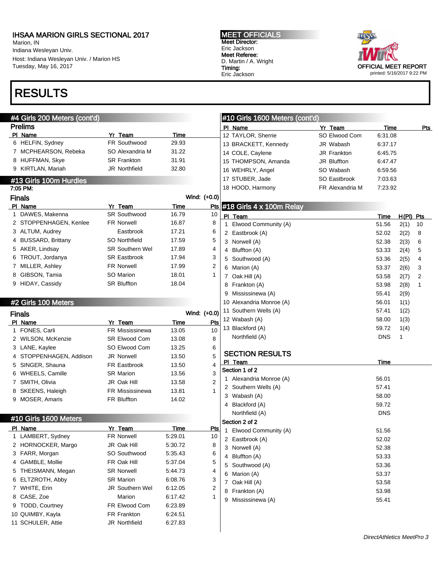Marion, IN Indiana Wesleyan Univ. Host: Indiana Wesleyan Univ. / Marion HS Tuesday, May 16, 2017

# RESULTS



| #4 Girls 200 Meters (cont'd) |                         |               |                | #10 Girls 1600 Meters (cont'd) |                    |            |              |            |
|------------------------------|-------------------------|---------------|----------------|--------------------------------|--------------------|------------|--------------|------------|
| <b>Prelims</b>               |                         |               |                | PI Name                        | Yr Team            | Time       |              | <u>Pts</u> |
| PI Name<br>6 HELFIN, Sydney  | Yr Team<br>FR Southwood | Time<br>29.93 |                | 12 TAYLOR, Sherrie             | SO Elwood Com      | 6:31.08    |              |            |
| 7 MCPHEARSON, Rebeka         | SO Alexandria M         | 31.22         |                | 13 BRACKETT, Kennedy           | JR Wabash          | 6:37.17    |              |            |
|                              | <b>SR Frankton</b>      |               |                | 14 COLE, Caylene               | <b>JR Frankton</b> | 6.45.75    |              |            |
| 8 HUFFMAN, Skye              |                         | 31.91         |                | 15 THOMPSON, Amanda            | JR Bluffton        | 6.47.47    |              |            |
| 9 KIRTLAN, Mariah            | <b>JR Northfield</b>    | 32.80         |                | 16 WEHRLY, Angel               | SO Wabash          | 6.59.56    |              |            |
| #13 Girls 100m Hurdles       |                         |               |                | 17 STUBER, Jade                | SO Eastbrook       | 7:03.63    |              |            |
| 7:05 PM:                     |                         |               |                | 18 HOOD, Harmony               | FR Alexandria M    | 7:23.92    |              |            |
| <b>Finals</b>                |                         |               | Wind: (+0.0)   |                                |                    |            |              |            |
| PI Name                      | Yr Team                 | <b>Time</b>   | Pts            | $#18$ Girls 4 x 100m Relay     |                    |            |              |            |
| 1 DAWES, Makenna             | <b>SR Southwood</b>     | 16.79         | 10             | PI Team                        |                    | Time       | $H(PI)$ Pts  |            |
| 2 STOPPENHAGEN, Kenlee       | <b>FR Norwell</b>       | 16.87         | 8              | 1 Elwood Community (A)         |                    | 51.56      | 2(1)         | 10         |
| 3 ALTUM, Audrey              | Eastbrook               | 17.21         | 6              | 2 Eastbrook (A)                |                    | 52.02      | 2(2)         | 8          |
| 4 BUSSARD, Brittany          | SO Northfield           | 17.59         | 5              | 3 Norwell (A)                  |                    | 52.38      | 2(3)         | 6          |
| 5 AKER, Lindsay              | <b>SR Southern Wel</b>  | 17.89         | 4              | 4 Bluffton (A)                 |                    | 53.33      | 2(4)         | 5          |
| 6 TROUT, Jordanya            | <b>SR Eastbrook</b>     | 17.94         | 3              | 5 Southwood (A)                |                    | 53.36      | 2(5)         | 4          |
| 7 MILLER, Ashley             | <b>FR Norwell</b>       | 17.99         | 2              | 6 Marion (A)                   |                    | 53.37      | 2(6)         | 3          |
| 8 GIBSON, Tamia              | SO Marion               | 18.01         | 1              | 7 Oak Hill (A)                 |                    | 53.58      | 2(7)         | 2          |
| 9 HIDAY, Cassidy             | <b>SR Bluffton</b>      | 18.04         |                | 8 Frankton (A)                 |                    | 53.98      | 2(8)         | 1          |
|                              |                         |               |                | 9 Mississinewa (A)             |                    | 55.41      | 2(9)         |            |
| #2 Girls 100 Meters          |                         |               |                | 10 Alexandria Monroe (A)       |                    | 56.01      | 1(1)         |            |
| <b>Finals</b>                |                         |               | Wind: (+0.0)   | 11 Southern Wells (A)          |                    | 57.41      | 1(2)         |            |
| PI Name                      | Yr Team                 | Time          | Pts            | 12 Wabash (A)                  |                    | 58.00      | 1(3)         |            |
| 1 FONES, Carli               | FR Mississinewa         | 13.05         | 10             | 13 Blackford (A)               |                    | 59.72      | 1(4)         |            |
| 2 WILSON, McKenzie           | <b>SR Elwood Com</b>    | 13.08         | 8              | Northfield (A)                 |                    | <b>DNS</b> | $\mathbf{1}$ |            |
| 3 LANE, Kaylee               | SO Elwood Com           | 13.25         | 6              |                                |                    |            |              |            |
| 4 STOPPENHAGEN, Addison      | JR Norwell              | 13.50         | 5              | <b>SECTION RESULTS</b>         |                    |            |              |            |
| 5 SINGER, Shauna             | FR Eastbrook            | 13.50         | 4              | PI Team                        |                    | Time       |              |            |
| 6 WHEELS, Camille            | <b>SR Marion</b>        | 13.56         | 3              | Section 1 of 2                 |                    |            |              |            |
| 7 SMITH, Olivia              | JR Oak Hill             | 13.58         | $\overline{2}$ | 1 Alexandria Monroe (A)        |                    | 56.01      |              |            |
| 8 SKEENS, Haleigh            | FR Mississinewa         | 13.81         | 1              | 2 Southern Wells (A)           |                    | 57.41      |              |            |
| 9 MOSER, Amaris              | <b>FR Bluffton</b>      | 14.02         |                | 3 Wabash (A)                   |                    | 58.00      |              |            |
|                              |                         |               |                | 4 Blackford (A)                |                    | 59.72      |              |            |
|                              |                         |               |                | Northfield (A)                 |                    | <b>DNS</b> |              |            |
| #10 Girls 1600 Meters        |                         |               |                | Section 2 of 2                 |                    |            |              |            |
| PI Name                      | Yr Team                 | Time          | <b>Pts</b>     | 1 Elwood Community (A)         |                    | 51.56      |              |            |
| 1 LAMBERT, Sydney            | FR Norwell              | 5:29.01       | 10             | 2 Eastbrook (A)                |                    | 52.02      |              |            |
| 2 HORNOCKER, Margo           | JR Oak Hill             | 5:30.72       | 8              | 3 Norwell (A)                  |                    | 52.38      |              |            |
| 3 FARR, Morgan               | SO Southwood            | 5:35.43       | 6              | 4 Bluffton (A)                 |                    | 53.33      |              |            |
| 4 GAMBLE, Mollie             | FR Oak Hill             | 5:37.04       | 5              | 5 Southwood (A)                |                    | 53.36      |              |            |
| 5 THEISMANN, Megan           | <b>SR Norwell</b>       | 5:44.73       | 4              | 6 Marion (A)                   |                    | 53.37      |              |            |
| 6 ELTZROTH, Abby             | <b>SR Marion</b>        | 6:08.76       | 3              | 7 Oak Hill (A)                 |                    | 53.58      |              |            |
| 7 WHITE, Erin                | <b>JR Southern Wel</b>  | 6:12.05       | 2              | 8 Frankton (A)                 |                    | 53.98      |              |            |
| 8 CASE, Zoe                  | <b>Marion</b>           | 6:17.42       | 1              | 9 Mississinewa (A)             |                    | 55.41      |              |            |
| 9 TODD, Courtney             | FR Elwood Com           | 6:23.89       |                |                                |                    |            |              |            |
| 10 QUIMBY, Kayla             | <b>FR Frankton</b>      | 6:24.51       |                |                                |                    |            |              |            |
| 11 SCHULER, Attie            | JR Northfield           | 6:27.83       |                |                                |                    |            |              |            |
|                              |                         |               |                |                                |                    |            |              |            |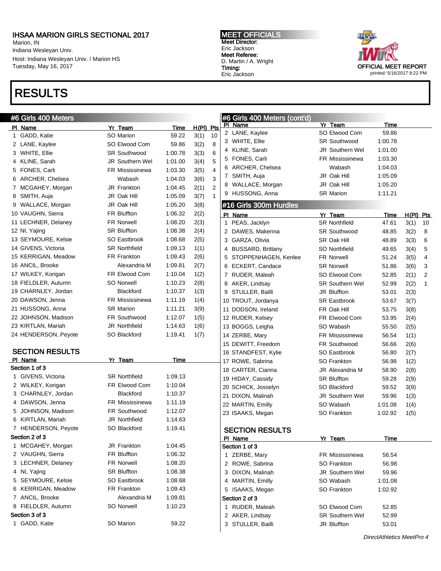Marion, IN Indiana Wesleyan Univ. Host: Indiana Wesleyan Univ. / Marion HS Tuesday, May 16, 2017

### RESULTS

#### MEET OFFICIALS Meet Director: Eric Jackson Meet Referee: D. Martin / A. Wright Timing: Eric Jackson

ù.



| #6 Girls 400 Meters    |                        |         |                        | #6 Girls 400 Meters (cont'd)            |                        |             |      |                |
|------------------------|------------------------|---------|------------------------|-----------------------------------------|------------------------|-------------|------|----------------|
| PI Name                | Yr Team                | Time    | $H(PI)$ Pts            | PI Name                                 | Yr Team                | Time        |      |                |
| 1 GADD, Katie          | <b>SO Marion</b>       | 59.22   | 10<br>3(1)             | 2 LANE, Kaylee                          | SO Elwood Com          | 59.86       |      |                |
| 2 LANE, Kaylee         | SO Elwood Com          | 59.86   | 8<br>3(2)              | 3 WHITE, Ellie                          | <b>SR Southwood</b>    | 1:00.78     |      |                |
| 3 WHITE, Ellie         | <b>SR Southwood</b>    | 1:00.78 | 6<br>3(3)              | 4 KLINE, Sarah                          | JR Southern Wel        | 1:01.00     |      |                |
| 4 KLINE, Sarah         | JR Southern Wel        | 1:01.00 | 5<br>3(4)              | FONES, Carli<br>5                       | <b>FR Mississinewa</b> | 1:03.30     |      |                |
| FONES, Carli<br>5      | <b>FR Mississinewa</b> | 1:03.30 | 3(5)<br>4              | ARCHER, Chelsea<br>6                    | Wabash                 | 1:04.03     |      |                |
| ARCHER, Chelsea<br>6   | Wabash                 | 1:04.03 | 3<br>3(6)              | 7 SMITH, Auja                           | JR Oak Hill            | 1:05.09     |      |                |
| 7 MCGAHEY, Morgan      | <b>JR Frankton</b>     | 1:04.45 | $\overline{2}$<br>2(1) | WALLACE, Morgan<br>8                    | JR Oak Hill            | 1:05.20     |      |                |
| SMITH, Auja<br>8       | JR Oak Hill            | 1:05.09 | 3(7)<br>$\mathbf{1}$   | HUSSONG, Anna<br>9                      | <b>SR Marion</b>       | 1:11.21     |      |                |
| 9 WALLACE, Morgan      | JR Oak Hill            | 1:05.20 | 3(8)                   | #16 Girls 300m Hurdles                  |                        |             |      |                |
| 10 VAUGHN, Sierra      | FR Bluffton            | 1:06.32 | 2(2)                   | PI Name                                 | Yr Team                | <b>Time</b> |      | H(PI) Pts      |
| 11 LECHNER, Delaney    | <b>FR Norwell</b>      | 1:08.20 | 2(3)                   | 1 PEAS, Jacklyn                         | <b>SR Northfield</b>   | 47.61       | 3(1) | 10             |
| 12 NI, Yajing          | <b>SR Bluffton</b>     | 1:08.38 | 2(4)                   | 2 DAWES, Makenna                        | <b>SR Southwood</b>    | 48.85       | 3(2) | -8             |
| 13 SEYMOURE, Kelsie    | SO Eastbrook           | 1:08.68 | 2(5)                   | 3 GARZA, Olivia                         | SR Oak Hill            | 48.89       | 3(3) | 6              |
| 14 GIVENS, Victoria    | <b>SR Northfield</b>   | 1:09.13 | 1(1)                   | 4 BUSSARD, Brittany                     | SO Northfield          | 49.65       | 3(4) | 5              |
| 15 KERRIGAN, Meadow    | FR Frankton            | 1:09.43 | 2(6)                   | 5 STOPPENHAGEN, Kenlee                  | <b>FR Norwell</b>      | 51.24       | 3(5) | 4              |
| 16 ANCIL, Brooke       | Alexandria M           | 1:09.81 | 2(7)                   | 6 ECKERT, Candace                       | <b>SR Norwell</b>      | 51.86       | 3(6) | 3              |
| 17 WILKEY, Korigan     | FR Elwood Com          | 1:10.04 | 1(2)                   | 7 RUDER, Maleah                         | SO Elwood Com          | 52.85       | 2(1) | $\overline{2}$ |
| 18 FIELDLER, Autumn    | <b>SO Norwell</b>      | 1:10.23 | 2(8)                   | 8 AKER, Lindsay                         | <b>SR Southern Wel</b> | 52.99       | 2(2) | $\overline{1}$ |
| 19 CHARNLEY, Jordan    | Blackford              | 1:10.37 | 1(3)                   | 9 STULLER, Bailli                       | JR Bluffton            | 53.01       | 2(3) |                |
| 20 DAWSON, Jenna       | FR Mississinewa        | 1:11.19 | 1(4)                   | 10 TROUT, Jordanya                      | <b>SR Eastbrook</b>    | 53.67       | 3(7) |                |
| 21 HUSSONG, Anna       | <b>SR Marion</b>       | 1:11.21 | 3(9)                   | 11 DODSON, Ireland                      | FR Oak Hill            | 53.75       | 3(8) |                |
| 22 JOHNSON, Madison    | FR Southwood           | 1:12.07 | 1(5)                   | 12 RUDER, Kelsey                        | FR Elwood Com          | 53.95       | 2(4) |                |
| 23 KIRTLAN, Mariah     | JR Northfield          | 1:14.63 | 1(6)                   | 13 BOGGS, Leigha                        | SO Wabash              | 55.50       | 2(5) |                |
| 24 HENDERSON, Peyote   | SO Blackford           | 1:19.41 | 1(7)                   | 14 ZERBE, Mary                          | <b>FR Mississinewa</b> | 56.54       | 1(1) |                |
|                        |                        |         |                        | 15 DEWITT, Freedom                      | FR Southwood           | 56.66       |      |                |
| <b>SECTION RESULTS</b> |                        |         |                        |                                         | SO Eastbrook           | 56.80       | 2(6) |                |
| PI Name                | Yr Team                | Time    |                        | 16 STANDFEST, Kylie<br>17 ROWE, Sabrina | SO Frankton            | 56.98       | 2(7) |                |
| Section 1 of 3         |                        |         |                        | 18 CARTER, Cianna                       | JR Alexandria M        | 58.90       | 1(2) |                |
| 1 GIVENS, Victoria     | <b>SR Northfield</b>   | 1:09.13 |                        | 19 HIDAY, Cassidy                       | <b>SR Bluffton</b>     | 59.28       | 2(8) |                |
| 2 WILKEY, Korigan      | FR Elwood Com          | 1:10.04 |                        | 20 SCHICK, Josselyn                     | SO Blackford           | 59.52       | 2(9) |                |
| 3 CHARNLEY, Jordan     | Blackford              | 1:10.37 |                        | 21 DIXON, Malinah                       | <b>JR Southern Wel</b> |             | 3(9) |                |
| 4 DAWSON, Jenna        | <b>FR Mississinewa</b> | 1:11.19 |                        |                                         |                        | 59.96       | 1(3) |                |
| 5 JOHNSON, Madison     | FR Southwood           | 1:12.07 |                        | 22 MARTIN, Emilly                       | SO Wabash              | 1:01.08     | 1(4) |                |
| 6 KIRTLAN, Mariah      | JR Northfield          | 1:14.63 |                        | 23 ISAAKS, Megan                        | SO Frankton            | 1:02.92     | 1(5) |                |
| 7 HENDERSON, Peyote    | SO Blackford           | 1:19.41 |                        | <b>SECTION RESULTS</b>                  |                        |             |      |                |
| Section 2 of 3         |                        |         |                        | PI Name                                 | Yr Team                |             |      |                |
| 1 MCGAHEY, Morgan      | JR Frankton            | 1:04.45 |                        | Section 1 of 3                          |                        | <u>Time</u> |      |                |
| 2 VAUGHN, Sierra       | FR Bluffton            | 1:06.32 |                        | 1 ZERBE, Mary                           | FR Mississinewa        | 56.54       |      |                |
| 3 LECHNER, Delaney     | FR Norwell             | 1:08.20 |                        | 2 ROWE, Sabrina                         | SO Frankton            | 56.98       |      |                |
| 4 NI, Yajing           | <b>SR Bluffton</b>     | 1:08.38 |                        | 3 DIXON, Malinah                        | JR Southern Wel        | 59.96       |      |                |
| 5 SEYMOURE, Kelsie     | SO Eastbrook           | 1:08.68 |                        | 4 MARTIN, Emilly                        | SO Wabash              | 1:01.08     |      |                |
| 6 KERRIGAN, Meadow     | FR Frankton            | 1:09.43 |                        |                                         |                        |             |      |                |
| 7 ANCIL, Brooke        | Alexandria M           | 1:09.81 |                        | 5 ISAAKS, Megan                         | SO Frankton            | 1:02.92     |      |                |
| 8 FIELDLER, Autumn     | <b>SO Norwell</b>      | 1:10.23 |                        | Section 2 of 3                          |                        |             |      |                |
| Section 3 of 3         |                        |         |                        | 1 RUDER, Maleah<br>2 AKER, Lindsay      | SO Elwood Com          | 52.85       |      |                |
| 1 GADD, Katie          | SO Marion              | 59.22   |                        |                                         | <b>SR Southern Wel</b> | 52.99       |      |                |
|                        |                        |         |                        | 3 STULLER, Bailli                       | JR Bluffton            | 53.01       |      |                |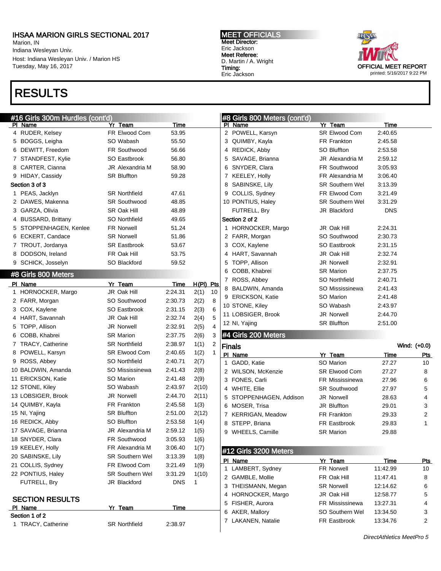Marion, IN Indiana Wesleyan Univ. Host: Indiana Wesleyan Univ. / Marion HS Tuesday, May 16, 2017

## RESULTS

#### MEET OFFICIALS Meet Director: Eric Jackson Meet Referee: D. Martin / A. Wright Timing: Eric Jackson



| #16 Girls 300m Hurdles (cont'd)      |                        |                        |                 | #8 Girls 800 Meters (cont'd)          |                        |                      |                  |
|--------------------------------------|------------------------|------------------------|-----------------|---------------------------------------|------------------------|----------------------|------------------|
| PI Name                              | Yr Team                | Time                   |                 | PI Name                               | Yr Team                | <b>Time</b>          |                  |
| 4 RUDER, Kelsey                      | FR Elwood Com          | 53.95                  |                 | 2 POWELL, Karsyn                      | <b>SR Elwood Com</b>   | 2:40.65              |                  |
| 5 BOGGS, Leigha                      | SO Wabash              | 55.50                  |                 | 3 QUIMBY, Kayla                       | FR Frankton            | 2:45.58              |                  |
| 6 DEWITT, Freedom                    | FR Southwood           | 56.66                  |                 | 4 REDICK, Abby                        | <b>SO Bluffton</b>     | 2:53.58              |                  |
| 7 STANDFEST, Kylie                   | SO Eastbrook           | 56.80                  |                 | 5 SAVAGE, Brianna                     | <b>JR Alexandria M</b> | 2:59.12              |                  |
| 8 CARTER, Cianna                     | <b>JR Alexandria M</b> | 58.90                  |                 | 6 SNYDER, Clara                       | FR Southwood           | 3:05.93              |                  |
| 9 HIDAY, Cassidy                     | <b>SR Bluffton</b>     | 59.28                  |                 | 7 KEELEY, Holly                       | FR Alexandria M        | 3:06.40              |                  |
| Section 3 of 3                       |                        |                        |                 | 8 SABINSKE, Lily                      | <b>SR Southern Wel</b> | 3:13.39              |                  |
| 1 PEAS, Jacklyn                      | <b>SR Northfield</b>   | 47.61                  |                 | 9 COLLIS, Sydney                      | FR Elwood Com          | 3:21.49              |                  |
| 2 DAWES, Makenna                     | <b>SR Southwood</b>    | 48.85                  |                 | 10 PONTIUS, Haley                     | <b>SR Southern Wel</b> | 3:31.29              |                  |
| 3 GARZA, Olivia                      | SR Oak Hill            | 48.89                  |                 | FUTRELL, Bry                          | JR Blackford           | <b>DNS</b>           |                  |
| 4 BUSSARD, Brittany                  | SO Northfield          | 49.65                  |                 | Section 2 of 2                        |                        |                      |                  |
| 5 STOPPENHAGEN, Kenlee               | <b>FR Norwell</b>      | 51.24                  |                 | 1 HORNOCKER, Margo                    | JR Oak Hill            | 2:24.31              |                  |
| 6 ECKERT, Candace                    | <b>SR Norwell</b>      | 51.86                  |                 | 2 FARR, Morgan                        | SO Southwood           | 2:30.73              |                  |
| 7 TROUT, Jordanya                    | <b>SR Eastbrook</b>    | 53.67                  |                 | 3 COX, Kaylene                        | SO Eastbrook           | 2:31.15              |                  |
| 8 DODSON, Ireland                    | FR Oak Hill            | 53.75                  |                 | 4 HART, Savannah                      | JR Oak Hill            | 2:32.74              |                  |
| 9 SCHICK, Josselyn                   | SO Blackford           | 59.52                  |                 | 5 TOPP, Allison                       | JR Norwell             | 2:32.91              |                  |
| #8 Girls 800 Meters                  |                        |                        |                 | 6 COBB, Khabrei                       | <b>SR Marion</b>       | 2:37.75              |                  |
|                                      |                        |                        |                 | 7 ROSS, Abbey                         | SO Northfield          | 2:40.71              |                  |
| PI Name                              | Yr Team<br>JR Oak Hill | <u>Time</u><br>2:24.31 | H(PI) Pts<br>10 | 8 BALDWIN, Amanda                     | SO Mississinewa        | 2:41.43              |                  |
| 1 HORNOCKER, Margo                   | SO Southwood           | 2:30.73                | 2(1)<br>8       | 9 ERICKSON, Katie                     | SO Marion              | 2:41.48              |                  |
| 2 FARR, Morgan                       |                        | 2:31.15                | 2(2)<br>6       | 10 STONE, Kiley                       | SO Wabash              | 2:43.97              |                  |
| 3 COX, Kaylene                       | SO Eastbrook           |                        | 2(3)            | 11 LOBSIGER, Brook                    | JR Norwell             | 2:44.70              |                  |
| 4 HART, Savannah                     | JR Oak Hill            | 2:32.74                | 5<br>2(4)<br>4  | 12 NI, Yajing                         | <b>SR Bluffton</b>     | 2:51.00              |                  |
| 5 TOPP, Allison                      | <b>JR Norwell</b>      | 2:32.91                | 2(5)            | #4 Girls 200 Meters                   |                        |                      |                  |
| 6 COBB, Khabrei                      | <b>SR Marion</b>       | 2:37.75                | 2(6)<br>3       |                                       |                        |                      |                  |
| 7 TRACY, Catherine                   | <b>SR Northfield</b>   | 2:38.97                | 2<br>1(1)       | <b>Finals</b>                         |                        |                      | Wind: (+0.0)     |
|                                      |                        |                        |                 |                                       |                        |                      |                  |
| 8 POWELL, Karsyn                     | <b>SR Elwood Com</b>   | 2:40.65                | 1(2)<br>1       | PI Name                               | Yr Team                | Time                 | <u>Pts</u>       |
| 9 ROSS, Abbey                        | SO Northfield          | 2:40.71                | 2(7)            | 1 GADD, Katie                         | SO Marion              | 27.27                | 10               |
| 10 BALDWIN, Amanda                   | SO Mississinewa        | 2:41.43                | 2(8)            | 2 WILSON, McKenzie                    | <b>SR Elwood Com</b>   | 27.27                | 8                |
| 11 ERICKSON, Katie                   | SO Marion              | 2:41.48                | 2(9)            | 3 FONES, Carli                        | <b>FR Mississinewa</b> | 27.96                | 6                |
| 12 STONE, Kiley                      | SO Wabash              | 2:43.97                | 2(10)           | 4 WHITE, Ellie                        | <b>SR Southwood</b>    | 27.97                | 5                |
| 13 LOBSIGER, Brook                   | <b>JR Norwell</b>      | 2:44.70                | 2(11)           | 5 STOPPENHAGEN, Addison               | <b>JR Norwell</b>      | 28.63                | 4                |
| 14 QUIMBY, Kayla                     | FR Frankton            | 2:45.58                | 1(3)            | 6 MOSER, Trisa                        | JR Bluffton            | 29.01                | 3                |
| 15 NI, Yajing                        | <b>SR Bluffton</b>     | 2:51.00                | 2(12)           | 7 KERRIGAN, Meadow                    | FR Frankton            | 29.33                | $\overline{c}$   |
| 16 REDICK, Abby                      | <b>SO Bluffton</b>     | 2:53.58                | 1(4)            | 8 STEPP, Briana                       | FR Eastbrook           | 29.83                | 1                |
| 17 SAVAGE, Brianna                   | JR Alexandria M        | 2:59.12                | 1(5)            | 9 WHEELS, Camille                     | <b>SR Marion</b>       | 29.88                |                  |
| 18 SNYDER, Clara                     | FR Southwood           | 3:05.93                | 1(6)            |                                       |                        |                      |                  |
| 19 KEELEY, Holly                     | FR Alexandria M        | 3:06.40                | 1(7)            | #12 Girls 3200 Meters                 |                        |                      |                  |
| 20 SABINSKE, Lily                    | <b>SR Southern Wel</b> | 3:13.39                | 1(8)            | PI Name                               |                        |                      |                  |
| 21 COLLIS, Sydney                    | FR Elwood Com          | 3:21.49                | 1(9)            |                                       | Yr Team<br>FR Norwell  | Time                 | <u>Pts</u><br>10 |
| 22 PONTIUS, Haley                    | <b>SR Southern Wel</b> | 3:31.29                | 1(10)           | 1 LAMBERT, Sydney<br>2 GAMBLE, Mollie | FR Oak Hill            | 11:42.99<br>11:47.41 | 8                |
| FUTRELL, Bry                         | JR Blackford           | <b>DNS</b>             | $\mathbf 1$     | 3 THEISMANN, Megan                    | <b>SR Norwell</b>      | 12:14.62             |                  |
|                                      |                        |                        |                 | 4 HORNOCKER, Margo                    | JR Oak Hill            | 12:58.77             | 6                |
| <b>SECTION RESULTS</b>               |                        |                        |                 | 5 FISHER, Aurora                      | FR Mississinewa        | 13:27.31             | 5<br>4           |
| PI Name                              | Yr Team                | Time                   |                 |                                       | <b>SO Southern Wel</b> | 13:34.50             | 3                |
| Section 1 of 2<br>1 TRACY, Catherine | <b>SR Northfield</b>   | 2:38.97                |                 | 6 AKER, Mallory<br>7 LAKANEN, Natalie | FR Eastbrook           | 13:34.76             | $\overline{c}$   |

i.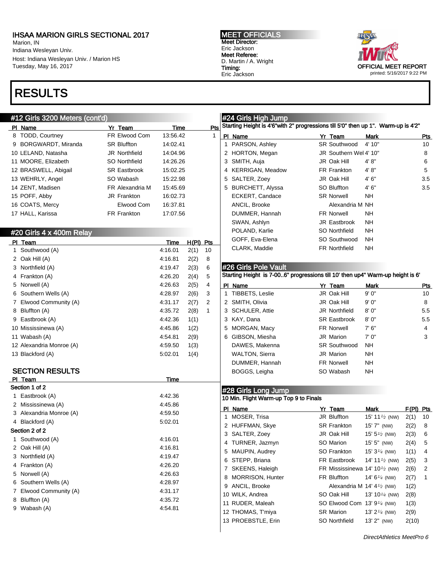Marion, IN Indiana Wesleyan Univ. Host: Indiana Wesleyan Univ. / Marion HS Tuesday, May 16, 2017

## RESULTS

#### #12 Girls 3200 Meters (cont'd)

MEET OFFICIALS Meet Director: Eric Jackson Meet Referee: D. Martin / A. Wright Timing: Eric Jackson

*Hugh Girls High* 



| #12 Giris 3200 Meters (cont'd) |                      |             |             |              | ∣#24 Giris Hign Jump                                                              |                                      |                                           |             |            |
|--------------------------------|----------------------|-------------|-------------|--------------|-----------------------------------------------------------------------------------|--------------------------------------|-------------------------------------------|-------------|------------|
| PI Name                        | Yr Team              | Time        |             | Pts          | Starting Height is 4'6"with 2" progressions till 5'0" then up 1". Warm-up is 4'2" |                                      |                                           |             |            |
| 8 TODD, Courtney               | FR Elwood Com        | 13:56.42    |             | 1            | PI Name                                                                           | Yr_Team                              | Mark                                      |             | <u>Pts</u> |
| 9 BORGWARDT, Miranda           | <b>SR Bluffton</b>   | 14:02.41    |             |              | 1 PARSON, Ashley                                                                  | <b>SR Southwood</b>                  | 4' 10"                                    |             | 10         |
| 10 LELAND, Natasha             | <b>JR Northfield</b> | 14:04.96    |             |              | 2 HORTON, Megan                                                                   | JR Southern Wel 4' 10"               |                                           |             | 8          |
| 11 MOORE, Elizabeth            | <b>SO Northfield</b> | 14:26.26    |             |              | 3 SMITH, Auja                                                                     | JR Oak Hill                          | 4'8"                                      |             | 6          |
| 12 BRASWELL, Abigail           | <b>SR Eastbrook</b>  | 15:02.25    |             |              | 4 KERRIGAN, Meadow                                                                | FR Frankton                          | 4' 8''                                    |             | 5          |
| 13 WEHRLY, Angel               | SO Wabash            | 15:22.98    |             |              | 5 SALTER, Zoey                                                                    | JR Oak Hill                          | 4'6''                                     |             | 3.5        |
| 14 ZENT, Madisen               | FR Alexandria M      | 15:45.69    |             |              | 5 BURCHETT, Alyssa                                                                | SO Bluffton                          | 4'6''                                     |             | 3.5        |
| 15 POFF, Abby                  | JR Frankton          | 16:02.73    |             |              | ECKERT, Candace                                                                   | <b>SR Norwell</b>                    | <b>NH</b>                                 |             |            |
| 16 COATS, Mercy                | Elwood Com           | 16:37.81    |             |              | ANCIL, Brooke                                                                     | Alexandria M NH                      |                                           |             |            |
| 17 HALL, Karissa               | FR Frankton          | 17:07.56    |             |              | DUMMER, Hannah                                                                    | <b>FR Norwell</b>                    | <b>NH</b>                                 |             |            |
|                                |                      |             |             |              | SWAN, Ashlyn                                                                      | JR Eastbrook                         | <b>NH</b>                                 |             |            |
| #20 Girls 4 x 400m Relay       |                      |             |             |              | POLAND, Karlie                                                                    | SO Northfield                        | NΗ                                        |             |            |
| PI Team                        |                      | Time        | $H(PI)$ Pts |              | GOFF, Eva-Elena                                                                   | SO Southwood                         | <b>NH</b>                                 |             |            |
| 1 Southwood (A)                |                      | 4:16.01     | 2(1)        | 10           | CLARK, Maddie                                                                     | <b>FR Northfield</b>                 | NΗ                                        |             |            |
| 2 Oak Hill (A)                 |                      | 4:16.81     | 2(2)        | 8            |                                                                                   |                                      |                                           |             |            |
| 3 Northfield (A)               |                      | 4:19.47     | 2(3)        | 6            | #26 Girls Pole Vault                                                              |                                      |                                           |             |            |
| 4 Frankton (A)                 |                      | 4:26.20     | 2(4)        | 5            | Starting Height is 7-006" progressions till 10' then up4" Warm-up height is 6'    |                                      |                                           |             |            |
| 5 Norwell (A)                  |                      | 4:26.63     | 2(5)        | 4            | PI Name                                                                           | Yr Team                              | Mark                                      |             | <u>Pts</u> |
| 6 Southern Wells (A)           |                      | 4:28.97     | 2(6)        | 3            | 1 TIBBETS, Leslie                                                                 | JR Oak Hill                          | 9' 0"                                     |             | 10         |
| 7 Elwood Community (A)         |                      | 4:31.17     | 2(7)        | 2            | 2 SMITH, Olivia                                                                   | JR Oak Hill                          | 9'0''                                     |             | 8          |
| 8 Bluffton (A)                 |                      | 4:35.72     | 2(8)        | $\mathbf{1}$ | 3 SCHULER, Attie                                                                  | <b>JR Northfield</b>                 | 8'0''                                     |             | 5.5        |
| 9 Eastbrook (A)                |                      | 4:42.36     | 1(1)        |              | 3 KAY, Dana                                                                       | <b>SR Eastbrook</b>                  | 8'0''                                     |             | 5.5        |
| 10 Mississinewa (A)            |                      | 4:45.86     | 1(2)        |              | 5 MORGAN, Macy                                                                    | <b>FR Norwell</b>                    | 7'6''                                     |             | 4          |
| 11 Wabash (A)                  |                      | 4:54.81     | 2(9)        |              | 6 GIBSON, Miesha                                                                  | <b>JR Marion</b>                     | 7'0''                                     |             | 3          |
| 12 Alexandria Monroe (A)       |                      | 4:59.50     | 1(3)        |              | DAWES, Makenna                                                                    | <b>SR Southwood</b>                  | <b>NH</b>                                 |             |            |
| 13 Blackford (A)               |                      | 5:02.01     | 1(4)        |              | <b>WALTON, Sierra</b>                                                             | JR Marion                            | NΗ                                        |             |            |
|                                |                      |             |             |              | DUMMER, Hannah                                                                    | FR Norwell                           | <b>NH</b>                                 |             |            |
| <b>SECTION RESULTS</b>         |                      |             |             |              | BOGGS, Leigha                                                                     | SO Wabash                            | NΗ                                        |             |            |
| PI Team                        |                      | <b>Time</b> |             |              |                                                                                   |                                      |                                           |             |            |
| Section 1 of 2                 |                      |             |             |              | #28 Girls Long Jump                                                               |                                      |                                           |             |            |
| 1 Eastbrook (A)                |                      | 4:42.36     |             |              | 10 Min. Flight Warm-up Top 9 to Finals                                            |                                      |                                           |             |            |
| 2 Mississinewa (A)             |                      | 4:45.86     |             |              | PI Name                                                                           | Yr_Team                              | Mark                                      | $F(PI)$ Pts |            |
| 3 Alexandria Monroe (A)        |                      | 4:59.50     |             |              | 1 MOSER, Trisa                                                                    | JR Bluffton                          | 15' 11 $\frac{1}{2}$ (NW)                 | 2(1)        | 10         |
| 4 Blackford (A)                |                      | 5:02.01     |             |              | 2 HUFFMAN, Skye                                                                   | <b>SR Frankton</b>                   | 15' 7" (NW)                               | 2(2)        | 8          |
| Section 2 of 2                 |                      |             |             |              | 3 SALTER, Zoey                                                                    | JR Oak Hill                          | 15' $5\frac{1}{2}$ (NW)                   | 2(3)        | 6          |
| 1 Southwood (A)                |                      | 4:16.01     |             |              | 4 TURNER, Jazmyn                                                                  | SO Marion                            | 15' 5" (NW)                               | 2(4)        | 5          |
| 2 Oak Hill (A)                 |                      | 4:16.81     |             |              | 5 MAUPIN, Audrey                                                                  | SO Frankton                          | 15' $3\frac{1}{4}$ (NW)                   | 1(1)        | 4          |
| 3 Northfield (A)               |                      | 4:19.47     |             |              | 6 STEPP, Briana                                                                   | FR Eastbrook                         | 14' 11 <sup>1/2</sup> (NW)                | 2(5)        | 3          |
| 4 Frankton (A)                 |                      | 4:26.20     |             |              | 7 SKEENS, Haleigh                                                                 |                                      | FR Mississinewa 14' 10 $\frac{1}{2}$ (NW) | 2(6)        | 2          |
| 5 Norwell (A)                  |                      | 4:26.63     |             |              | 8 MORRISON, Hunter                                                                | FR Bluffton                          | 14' $6\frac{1}{4}$ (NW)                   | 2(7)        | 1          |
| 6 Southern Wells (A)           |                      | 4:28.97     |             |              | 9 ANCIL, Brooke                                                                   | Alexandria M 14' $4\frac{1}{2}$ (NW) |                                           | 1(2)        |            |
| 7 Elwood Community (A)         |                      | 4:31.17     |             |              | 10 WILK, Andrea                                                                   | SO Oak Hill                          | 13' 10 $\frac{1}{4}$ (NW)                 | 2(8)        |            |
| 8 Bluffton (A)                 |                      | 4:35.72     |             |              | 11 RUDER, Maleah                                                                  | SO Elwood Com 13' 91/4 (NW)          |                                           | 1(3)        |            |
| 9 Wabash (A)                   |                      | 4:54.81     |             |              | 12 THOMAS, T'miya                                                                 | <b>SR Marion</b>                     | 13' $2^{1/4}$ (NW)                        | 2(9)        |            |
|                                |                      |             |             |              | 13 PROEBSTLE, Erin                                                                | SO Northfield                        | 13' 2" (NW)                               | 2(10)       |            |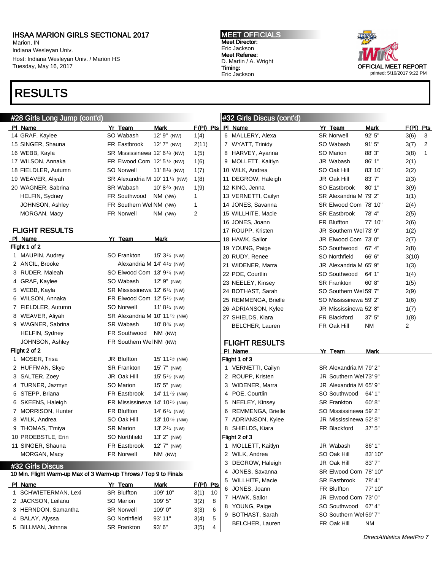Marion, IN Indiana Wesleyan Univ. Host: Indiana Wesleyan Univ. / Marion HS Tuesday, May 16, 2017

## RESULTS



| #28 Girls Long Jump (cont'd)                                     |                                            |                           |                     | #32 Girls Discus (cont'd) |                        |             |                |                |
|------------------------------------------------------------------|--------------------------------------------|---------------------------|---------------------|---------------------------|------------------------|-------------|----------------|----------------|
| PI Name                                                          | Yr Team                                    | Mark                      | $F(PI)$ Pts PI Name |                           | Yr Team                | Mark        | $F(PI)$ Pts    |                |
| 14 GRAF, Kaylee                                                  | SO Wabash                                  | 12' 9" (NW)               | 1(4)                | 6 MALLERY, Alexa          | <b>SR Norwell</b>      | 92' 5"      | 3(6)           | 3              |
| 15 SINGER, Shauna                                                | FR Eastbrook                               | $12'7''$ (NW)             | 2(11)               | 7 WYATT, Trinidy          | SO Wabash              | 91'5''      | 3(7)           | $\overline{2}$ |
| 16 WEBB, Kayla                                                   | SR Mississinewa 12' 6 <sup>1/4</sup> (NW)  |                           | 1(5)                | 8 HARVEY, Ayanna          | SO Marion              | 88' 3"      | 3(8)           | $\mathbf{1}$   |
| 17 WILSON, Annaka                                                | FR Elwood Com 12' 5 <sup>1/2</sup> (NW)    |                           | 1(6)                | 9 MOLLETT, Kaitlyn        | JR Wabash              | 86' 1"      | 2(1)           |                |
| 18 FIELDLER, Autumn                                              | <b>SO Norwell</b>                          | 11' $8\frac{1}{4}$ (NW)   | 1(7)                | 10 WILK, Andrea           | SO Oak Hill            | 83' 10"     | 2(2)           |                |
| 19 WEAVER, Aliyah                                                | SR Alexandria M 10' 11 $\frac{1}{4}$ (NW)  |                           | 1(8)                | 11 DEGROW, Haleigh        | JR Oak Hill            | 83'7"       | 2(3)           |                |
| 20 WAGNER, Sabrina                                               | SR Wabash                                  | 10' 8 $\frac{3}{4}$ (NW)  | 1(9)                | 12 KING, Jenna            | SO Eastbrook           | $80'$ 1"    | 3(9)           |                |
| <b>HELFIN, Sydney</b>                                            | FR Southwood                               | NM (NW)                   | $\mathbf{1}$        | 13 VERNETTI, Cailyn       | SR Alexandria M 79' 2" |             | 1(1)           |                |
| JOHNSON, Ashley                                                  | FR Southern Wel NM (NW)                    |                           | $\mathbf{1}$        | 14 JONES, Savanna         | SR Elwood Com 78' 10"  |             | 2(4)           |                |
| MORGAN, Macy                                                     | <b>FR Norwell</b>                          | NM (NW)                   | 2                   | 15 WILLHITE, Macie        | <b>SR Eastbrook</b>    | 78' 4"      | 2(5)           |                |
|                                                                  |                                            |                           |                     | 16 JONES, Joann           | FR Bluffton            | 77' 10"     | 2(6)           |                |
| <b>FLIGHT RESULTS</b>                                            |                                            |                           |                     | 17 ROUPP, Kristen         | JR Southern Wel 73' 9" |             | 1(2)           |                |
| PI Name                                                          | Yr Team                                    | <b>Mark</b>               |                     | 18 HAWK, Sailor           | JR Elwood Com 73' 0"   |             | 2(7)           |                |
| Flight 1 of 2                                                    |                                            |                           |                     | 19 YOUNG, Paige           | SO Southwood           | 67' 4"      | 2(8)           |                |
| 1 MAUPIN, Audrey                                                 | SO Frankton                                | 15' $3\frac{1}{4}$ (NW)   |                     | 20 RUDY, Renee            | SO Northfield          | 66' 6"      | 3(10)          |                |
| 2 ANCIL, Brooke                                                  | Alexandria M 14' $4\frac{1}{2}$ (NW)       |                           |                     | 21 WIDENER, Marra         | JR Alexandria M 65' 9" |             | 1(3)           |                |
| 3 RUDER, Maleah                                                  | SO Elwood Com 13' 91/4 (NW)                |                           |                     | 22 POE, Courtlin          | SO Southwood           | 64' 1"      | 1(4)           |                |
| 4 GRAF, Kaylee                                                   | SO Wabash                                  | 12' 9" (NW)               |                     | 23 NEELEY, Kinsey         | <b>SR Frankton</b>     | 60' 8"      | 1(5)           |                |
| 5 WEBB, Kayla                                                    | SR Mississinewa 12' 6 <sup>1/4</sup> (NW)  |                           |                     | 24 BOTHAST, Sarah         | SO Southern Wel 59' 7" |             | 2(9)           |                |
| 6 WILSON, Annaka                                                 | FR Elwood Com 12' 5 <sup>1/2</sup> (NW)    |                           |                     | 25 REMMENGA, Brielle      | SO Mississinewa 59' 2" |             | 1(6)           |                |
| 7 FIELDLER, Autumn                                               | <b>SO Norwell</b>                          | 11' $8\frac{1}{4}$ (NW)   |                     | 26 ADRIANSON, Kylee       | JR Mississinewa 52' 8" |             | 1(7)           |                |
| 8 WEAVER, Aliyah                                                 | SR Alexandria M 10' 11 <sup>1/4</sup> (NW) |                           |                     | 27 SHIELDS, Kiara         | FR Blackford           | 37'5''      | 1(8)           |                |
| 9 WAGNER, Sabrina                                                | SR Wabash                                  | 10' 8 $\frac{3}{4}$ (NW)  |                     | <b>BELCHER, Lauren</b>    | FR Oak Hill            | <b>NM</b>   | $\overline{2}$ |                |
| <b>HELFIN, Sydney</b>                                            | FR Southwood                               | NM (NW)                   |                     |                           |                        |             |                |                |
| JOHNSON, Ashley                                                  | FR Southern Wel NM (NW)                    |                           |                     | <b>FLIGHT RESULTS</b>     |                        |             |                |                |
| Flight 2 of 2                                                    |                                            |                           |                     | PI Name                   | Yr Team                | <b>Mark</b> |                |                |
| 1 MOSER, Trisa                                                   | JR Bluffton                                | 15' 11 $\frac{1}{2}$ (NW) |                     | Flight 1 of 3             |                        |             |                |                |
| 2 HUFFMAN, Skye                                                  | <b>SR Frankton</b>                         | 15' 7" (NW)               |                     | 1 VERNETTI, Cailyn        | SR Alexandria M 79' 2" |             |                |                |
| 3 SALTER, Zoey                                                   | JR Oak Hill                                | 15' $5\frac{1}{2}$ (NW)   |                     | 2 ROUPP, Kristen          | JR Southern Wel 73' 9" |             |                |                |
| 4 TURNER, Jazmyn                                                 | SO Marion                                  | $15' 5''$ (NW)            |                     | 3 WIDENER, Marra          | JR Alexandria M 65' 9" |             |                |                |
| 5 STEPP, Briana                                                  | FR Eastbrook                               | 14' 11 $\frac{1}{2}$ (NW) |                     | 4 POE, Courtlin           | SO Southwood           | 64' 1"      |                |                |
| 6 SKEENS, Haleigh                                                | FR Mississinewa 14' 10 $\frac{1}{2}$ (NW)  |                           |                     | 5 NEELEY, Kinsey          | <b>SR Frankton</b>     | 60' 8"      |                |                |
| 7 MORRISON, Hunter                                               | FR Bluffton                                | 14' $6\frac{1}{4}$ (NW)   |                     | 6 REMMENGA, Brielle       | SO Mississinewa 59' 2" |             |                |                |
| 8 WILK, Andrea                                                   | SO Oak Hill                                | 13' 10 $\frac{1}{4}$ (NW) |                     | 7 ADRIANSON, Kylee        | JR Mississinewa 52'8"  |             |                |                |
| 9 THOMAS, T'miya                                                 | <b>SR Marion</b>                           | 13' $2\frac{1}{4}$ (NW)   |                     | 8 SHIELDS, Kiara          | FR Blackford           | 37'5''      |                |                |
| 10 PROEBSTLE, Erin                                               | SO Northfield                              | 13' 2" (NW)               |                     | Flight 2 of 3             |                        |             |                |                |
| 11 SINGER, Shauna                                                | FR Eastbrook                               | 12' 7" (NW)               |                     | 1 MOLLETT, Kaitlyn        | JR Wabash              | 86' 1"      |                |                |
| MORGAN, Macy                                                     | FR Norwell                                 | NM (NW)                   |                     | 2 WILK, Andrea            | SO Oak Hill            | 83' 10"     |                |                |
| #32 Girls Discus                                                 |                                            |                           |                     | 3 DEGROW, Haleigh         | JR Oak Hill            | 83'7"       |                |                |
| 10 Min. Flight Warm-up Max of 3 Warm-up Throws / Top 9 to Finals |                                            |                           |                     | 4 JONES, Savanna          | SR Elwood Com 78' 10"  |             |                |                |
| PI Name                                                          | Yr Team                                    | Mark                      | $F(PI)$ Pts         | 5 WILLHITE, Macie         | <b>SR Eastbrook</b>    | 78' 4"      |                |                |
| 1 SCHWIETERMAN, Lexi                                             | <b>SR Bluffton</b>                         | 109' 10"                  | 3(1)<br>10          | 6 JONES, Joann            | FR Bluffton            | 77' 10"     |                |                |
| 2 JACKSON, Leilanu                                               | SO Marion                                  | 109' 5"                   | 3(2)<br>8           | 7 HAWK, Sailor            | JR Elwood Com 73' 0"   |             |                |                |
| 3 HERNDON, Samantha                                              | <b>SR Norwell</b>                          | 109'0"                    | 6<br>3(3)           | 8 YOUNG, Paige            | SO Southwood           | 67' 4"      |                |                |
| 4 BALAY, Alyssa                                                  | SO Northfield                              | 93' 11"                   | 5<br>3(4)           | 9 BOTHAST, Sarah          | SO Southern Wel 59' 7" |             |                |                |
| 5 BILLMAN, Johnna                                                | SR Frankton                                | 93'6"                     | 3(5)<br>4           | BELCHER, Lauren           | FR Oak Hill            | NM          |                |                |